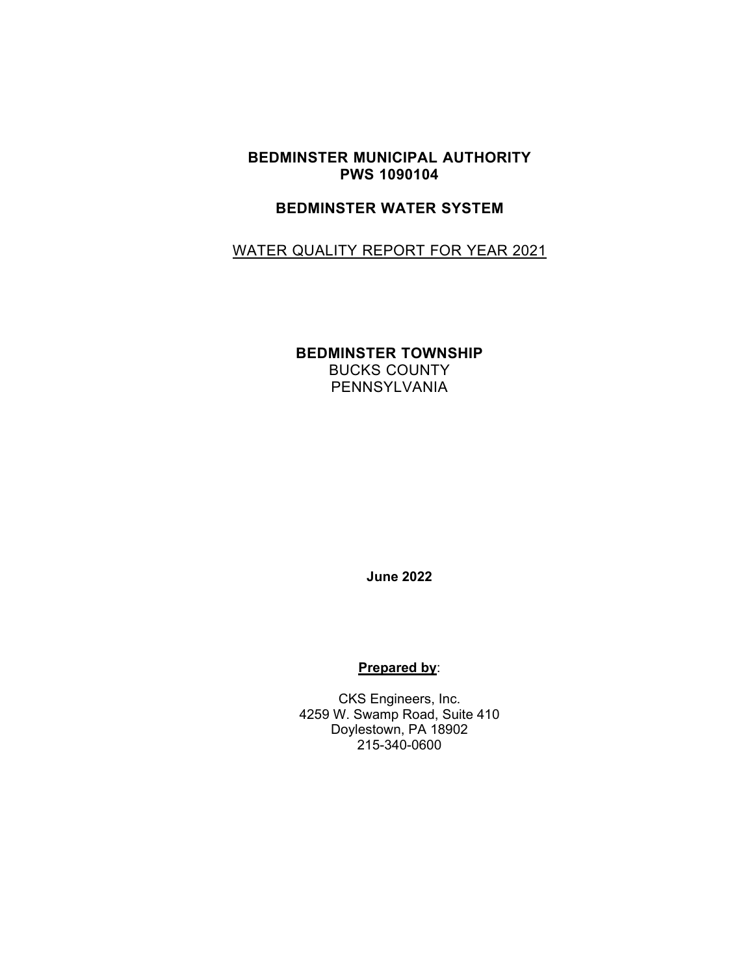# **BEDMINSTER MUNICIPAL AUTHORITY PWS 1090104**

## **BEDMINSTER WATER SYSTEM**

# WATER QUALITY REPORT FOR YEAR 2021

## **BEDMINSTER TOWNSHIP** BUCKS COUNTY PENNSYLVANIA

**June 2022** 

#### **Prepared by**:

CKS Engineers, Inc. 4259 W. Swamp Road, Suite 410 Doylestown, PA 18902 215-340-0600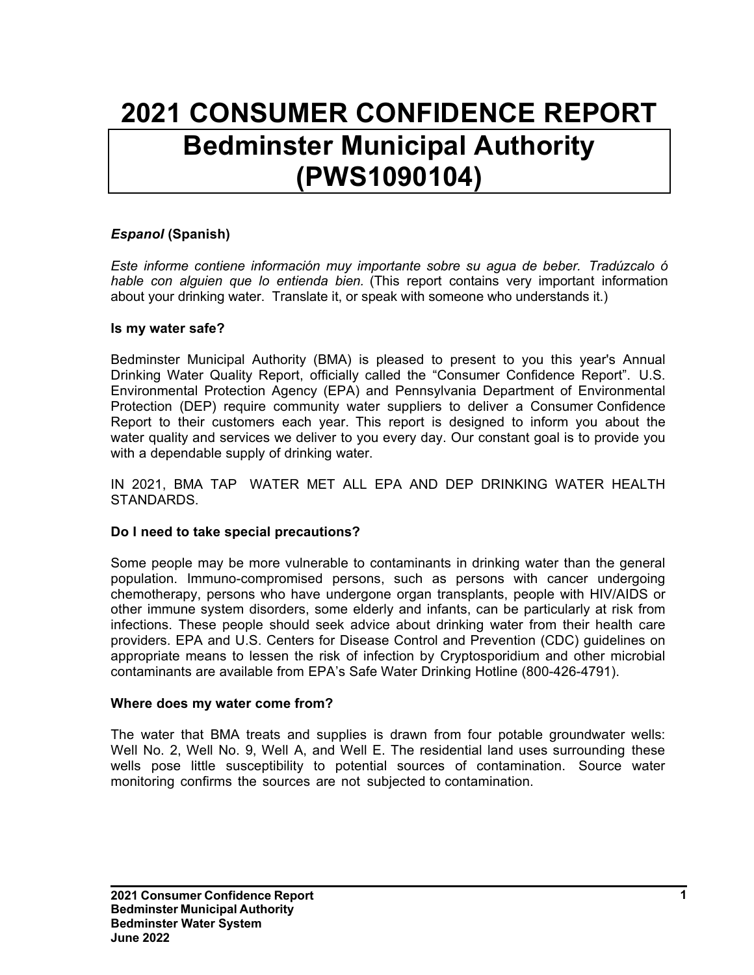# **2021 CONSUMER CONFIDENCE REPORT Bedminster Municipal Authority (PWS1090104)**

# *Espanol* **(Spanish)**

*Este informe contiene información muy importante sobre su agua de beber. Tradúzcalo ó hable con alguien que lo entienda bien.* (This report contains very important information about your drinking water. Translate it, or speak with someone who understands it.)

#### **Is my water safe?**

Bedminster Municipal Authority (BMA) is pleased to present to you this year's Annual Drinking Water Quality Report, officially called the "Consumer Confidence Report". U.S. Environmental Protection Agency (EPA) and Pennsylvania Department of Environmental Protection (DEP) require community water suppliers to deliver a Consumer Confidence Report to their customers each year. This report is designed to inform you about the water quality and services we deliver to you every day. Our constant goal is to provide you with a dependable supply of drinking water.

IN 2021, BMA TAP WATER MET ALL EPA AND DEP DRINKING WATER HEALTH STANDARDS.

#### **Do I need to take special precautions?**

Some people may be more vulnerable to contaminants in drinking water than the general population. Immuno-compromised persons, such as persons with cancer undergoing chemotherapy, persons who have undergone organ transplants, people with HIV/AIDS or other immune system disorders, some elderly and infants, can be particularly at risk from infections. These people should seek advice about drinking water from their health care providers. EPA and U.S. Centers for Disease Control and Prevention (CDC) guidelines on appropriate means to lessen the risk of infection by Cryptosporidium and other microbial contaminants are available from EPA's Safe Water Drinking Hotline (800-426-4791).

#### **Where does my water come from?**

The water that BMA treats and supplies is drawn from four potable groundwater wells: Well No. 2, Well No. 9, Well A, and Well E. The residential land uses surrounding these wells pose little susceptibility to potential sources of contamination. Source water monitoring confirms the sources are not subjected to contamination.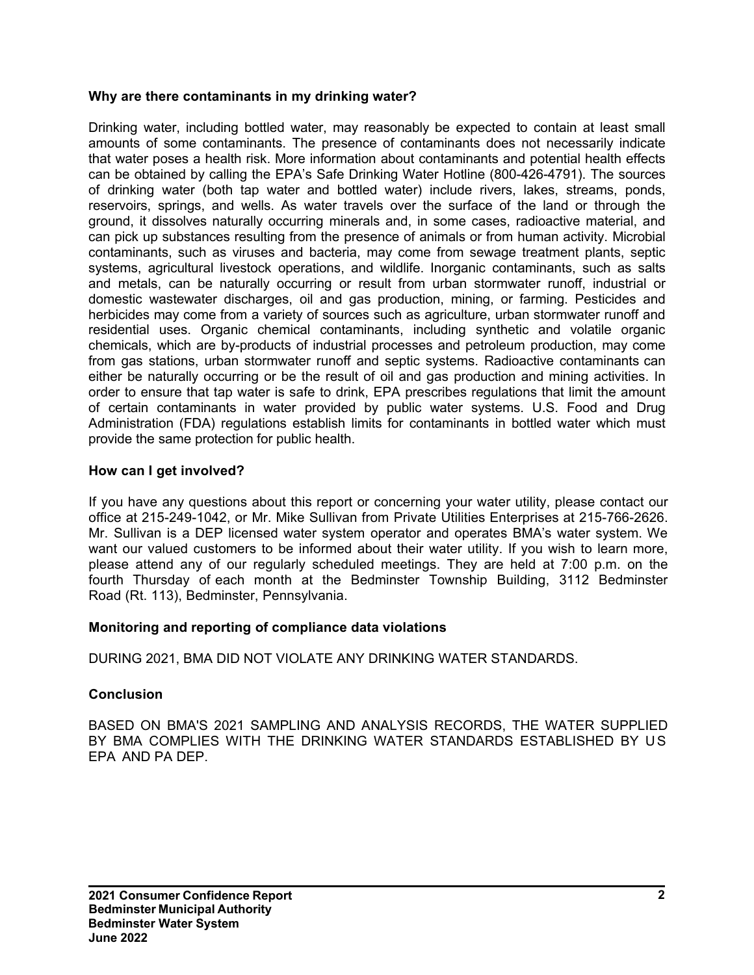## **Why are there contaminants in my drinking water?**

Drinking water, including bottled water, may reasonably be expected to contain at least small amounts of some contaminants. The presence of contaminants does not necessarily indicate that water poses a health risk. More information about contaminants and potential health effects can be obtained by calling the EPA's Safe Drinking Water Hotline (800-426-4791). The sources of drinking water (both tap water and bottled water) include rivers, lakes, streams, ponds, reservoirs, springs, and wells. As water travels over the surface of the land or through the ground, it dissolves naturally occurring minerals and, in some cases, radioactive material, and can pick up substances resulting from the presence of animals or from human activity. Microbial contaminants, such as viruses and bacteria, may come from sewage treatment plants, septic systems, agricultural livestock operations, and wildlife. Inorganic contaminants, such as salts and metals, can be naturally occurring or result from urban stormwater runoff, industrial or domestic wastewater discharges, oil and gas production, mining, or farming. Pesticides and herbicides may come from a variety of sources such as agriculture, urban stormwater runoff and residential uses. Organic chemical contaminants, including synthetic and volatile organic chemicals, which are by-products of industrial processes and petroleum production, may come from gas stations, urban stormwater runoff and septic systems. Radioactive contaminants can either be naturally occurring or be the result of oil and gas production and mining activities. In order to ensure that tap water is safe to drink, EPA prescribes regulations that limit the amount of certain contaminants in water provided by public water systems. U.S. Food and Drug Administration (FDA) regulations establish limits for contaminants in bottled water which must provide the same protection for public health.

## **How can I get involved?**

If you have any questions about this report or concerning your water utility, please contact our office at 215-249-1042, or Mr. Mike Sullivan from Private Utilities Enterprises at 215-766-2626. Mr. Sullivan is a DEP licensed water system operator and operates BMA's water system. We want our valued customers to be informed about their water utility. If you wish to learn more, please attend any of our regularly scheduled meetings. They are held at 7:00 p.m. on the fourth Thursday of each month at the Bedminster Township Building, 3112 Bedminster Road (Rt. 113), Bedminster, Pennsylvania.

#### **Monitoring and reporting of compliance data violations**

DURING 2021, BMA DID NOT VIOLATE ANY DRINKING WATER STANDARDS.

## **Conclusion**

BASED ON BMA'S 2021 SAMPLING AND ANALYSIS RECORDS, THE WATER SUPPLIED BY BMA COMPLIES WITH THE DRINKING WATER STANDARDS ESTABLISHED BY US EPA AND PA DEP.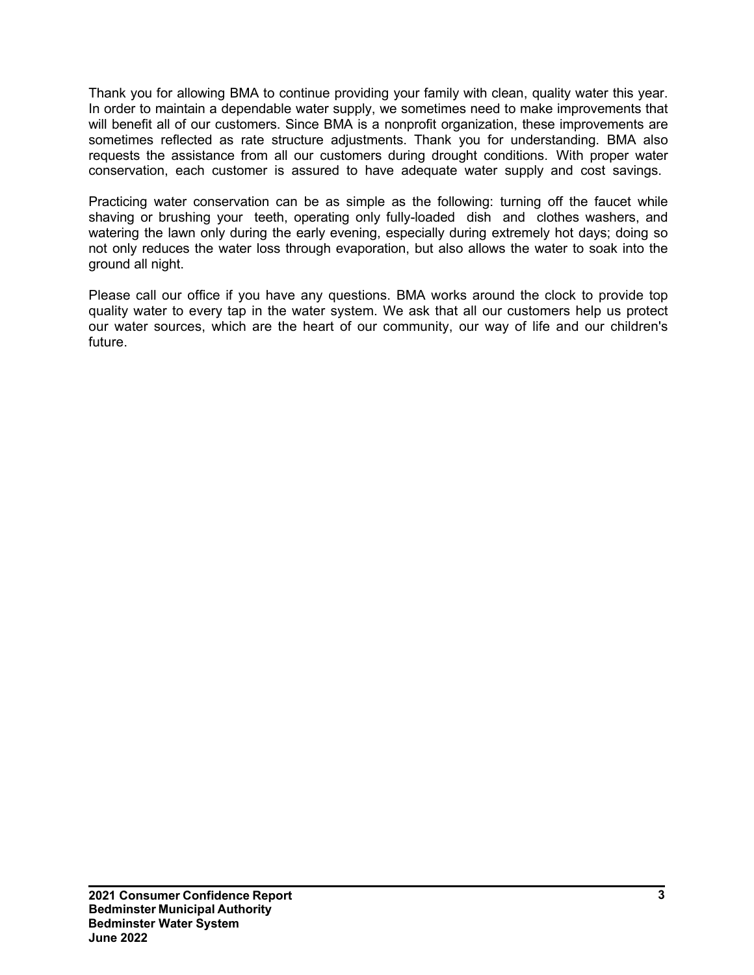Thank you for allowing BMA to continue providing your family with clean, quality water this year. In order to maintain a dependable water supply, we sometimes need to make improvements that will benefit all of our customers. Since BMA is a nonprofit organization, these improvements are sometimes reflected as rate structure adjustments. Thank you for understanding. BMA also requests the assistance from all our customers during drought conditions. With proper water conservation, each customer is assured to have adequate water supply and cost savings.

Practicing water conservation can be as simple as the following: turning off the faucet while shaving or brushing your teeth, operating only fully-loaded dish and clothes washers, and watering the lawn only during the early evening, especially during extremely hot days; doing so not only reduces the water loss through evaporation, but also allows the water to soak into the ground all night.

Please call our office if you have any questions. BMA works around the clock to provide top quality water to every tap in the water system. We ask that all our customers help us protect our water sources, which are the heart of our community, our way of life and our children's future.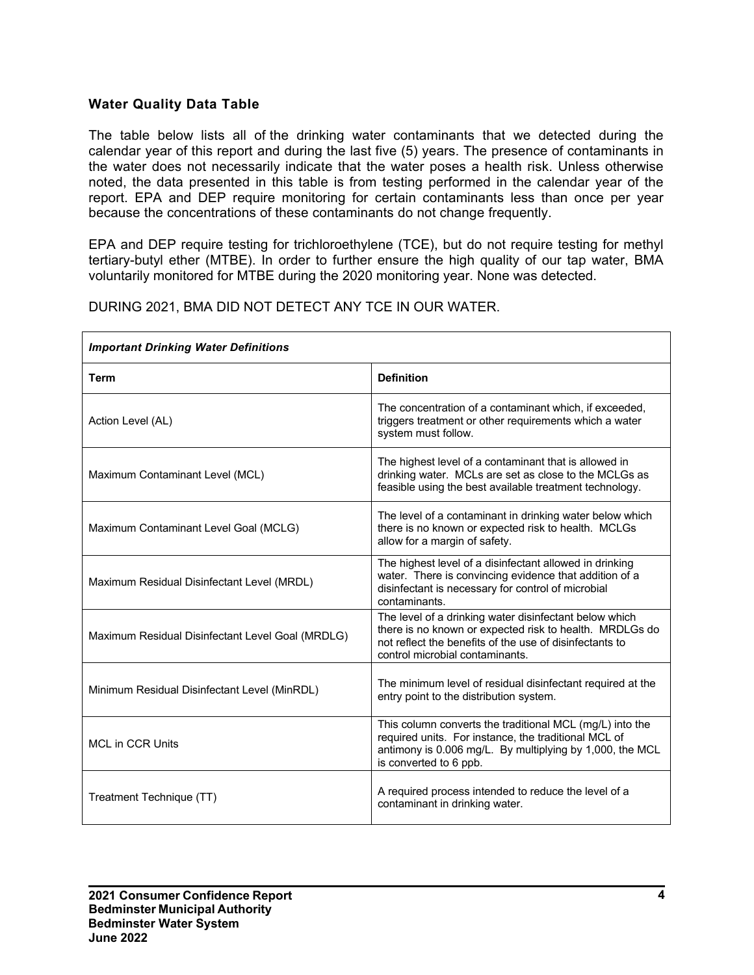# **Water Quality Data Table**

The table below lists all of the drinking water contaminants that we detected during the calendar year of this report and during the last five (5) years. The presence of contaminants in the water does not necessarily indicate that the water poses a health risk. Unless otherwise noted, the data presented in this table is from testing performed in the calendar year of the report. EPA and DEP require monitoring for certain contaminants less than once per year because the concentrations of these contaminants do not change frequently.

EPA and DEP require testing for trichloroethylene (TCE), but do not require testing for methyl tertiary-butyl ether (MTBE). In order to further ensure the high quality of our tap water, BMA voluntarily monitored for MTBE during the 2020 monitoring year. None was detected.

## DURING 2021, BMA DID NOT DETECT ANY TCE IN OUR WATER.

| <b>Important Drinking Water Definitions</b>      |                                                                                                                                                                                                                 |  |  |  |  |  |  |
|--------------------------------------------------|-----------------------------------------------------------------------------------------------------------------------------------------------------------------------------------------------------------------|--|--|--|--|--|--|
| <b>Term</b>                                      | <b>Definition</b>                                                                                                                                                                                               |  |  |  |  |  |  |
| Action Level (AL)                                | The concentration of a contaminant which, if exceeded,<br>triggers treatment or other requirements which a water<br>system must follow.                                                                         |  |  |  |  |  |  |
| Maximum Contaminant Level (MCL)                  | The highest level of a contaminant that is allowed in<br>drinking water. MCLs are set as close to the MCLGs as<br>feasible using the best available treatment technology.                                       |  |  |  |  |  |  |
| Maximum Contaminant Level Goal (MCLG)            | The level of a contaminant in drinking water below which<br>there is no known or expected risk to health. MCLGs<br>allow for a margin of safety.                                                                |  |  |  |  |  |  |
| Maximum Residual Disinfectant Level (MRDL)       | The highest level of a disinfectant allowed in drinking<br>water. There is convincing evidence that addition of a<br>disinfectant is necessary for control of microbial<br>contaminants.                        |  |  |  |  |  |  |
| Maximum Residual Disinfectant Level Goal (MRDLG) | The level of a drinking water disinfectant below which<br>there is no known or expected risk to health. MRDLGs do<br>not reflect the benefits of the use of disinfectants to<br>control microbial contaminants. |  |  |  |  |  |  |
| Minimum Residual Disinfectant Level (MinRDL)     | The minimum level of residual disinfectant required at the<br>entry point to the distribution system.                                                                                                           |  |  |  |  |  |  |
| <b>MCL in CCR Units</b>                          | This column converts the traditional MCL (mg/L) into the<br>required units. For instance, the traditional MCL of<br>antimony is 0.006 mg/L. By multiplying by 1,000, the MCL<br>is converted to 6 ppb.          |  |  |  |  |  |  |
| Treatment Technique (TT)                         | A required process intended to reduce the level of a<br>contaminant in drinking water.                                                                                                                          |  |  |  |  |  |  |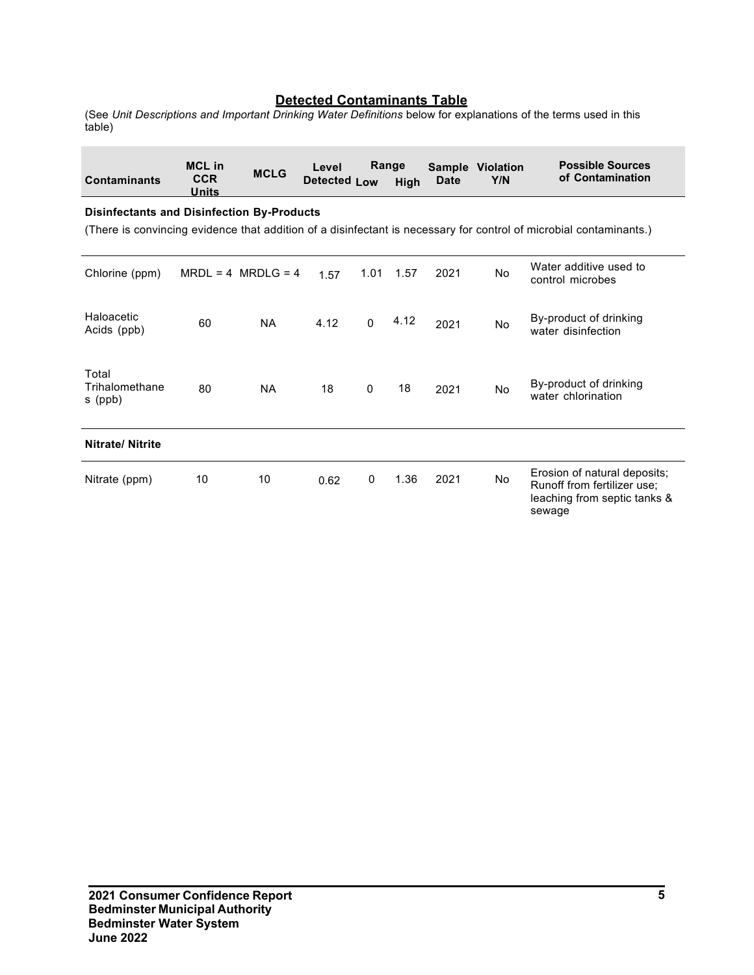#### **Detected Contaminants Table**

(See Unit Descriptions and Important Drinking Water Definitions below for explanations of the terms used in this table)

| <b>Contaminants</b>                                                                                                                                                     | <b>MCL in</b><br><b>CCR</b><br><b>Units</b> | <b>MCLG</b>          | Level<br>Detected Low | Range       | High | <b>Sample</b><br><b>Date</b> | <b>Violation</b><br>Y/N | <b>Possible Sources</b><br>of Contamination                                                           |  |
|-------------------------------------------------------------------------------------------------------------------------------------------------------------------------|---------------------------------------------|----------------------|-----------------------|-------------|------|------------------------------|-------------------------|-------------------------------------------------------------------------------------------------------|--|
| <b>Disinfectants and Disinfection By-Products</b><br>(There is convincing evidence that addition of a disinfectant is necessary for control of microbial contaminants.) |                                             |                      |                       |             |      |                              |                         |                                                                                                       |  |
| Chlorine (ppm)                                                                                                                                                          |                                             | $MRDL = 4$ MRDLG = 4 | 1.57                  | 1.01        | 1.57 | 2021                         | No                      | Water additive used to<br>control microbes                                                            |  |
| Haloacetic<br>Acids (ppb)                                                                                                                                               | 60                                          | <b>NA</b>            | 4.12                  | $\Omega$    | 4.12 | 2021                         | No                      | By-product of drinking<br>water disinfection                                                          |  |
| Total<br>Trihalomethane<br>s (ppb)                                                                                                                                      | 80                                          | <b>NA</b>            | 18                    | $\mathbf 0$ | 18   | 2021                         | <b>No</b>               | By-product of drinking<br>water chlorination                                                          |  |
| <b>Nitrate/Nitrite</b>                                                                                                                                                  |                                             |                      |                       |             |      |                              |                         |                                                                                                       |  |
| Nitrate (ppm)                                                                                                                                                           | 10                                          | 10                   | 0.62                  | $\mathbf 0$ | 1.36 | 2021                         | No                      | Erosion of natural deposits;<br>Runoff from fertilizer use:<br>leaching from septic tanks &<br>sewage |  |

÷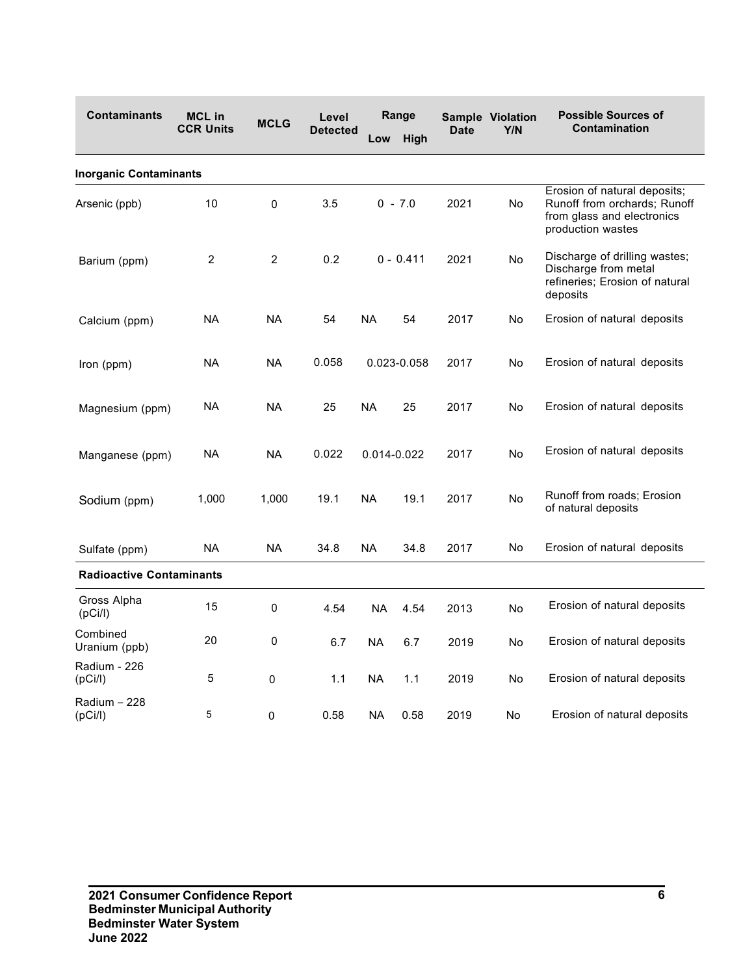| <b>Contaminants</b>             | <b>MCL in</b><br><b>CCR Units</b> | <b>MCLG</b>    | Level<br><b>Detected</b> | Low         | Range<br>High | <b>Date</b> | <b>Sample Violation</b><br>Y/N | <b>Possible Sources of</b><br><b>Contamination</b>                                                              |
|---------------------------------|-----------------------------------|----------------|--------------------------|-------------|---------------|-------------|--------------------------------|-----------------------------------------------------------------------------------------------------------------|
| <b>Inorganic Contaminants</b>   |                                   |                |                          |             |               |             |                                |                                                                                                                 |
| Arsenic (ppb)                   | 10                                | 0              | 3.5                      |             | $0 - 7.0$     | 2021        | No.                            | Erosion of natural deposits;<br>Runoff from orchards; Runoff<br>from glass and electronics<br>production wastes |
| Barium (ppm)                    | $\overline{2}$                    | $\overline{2}$ | 0.2                      |             | $0 - 0.411$   | 2021        | <b>No</b>                      | Discharge of drilling wastes;<br>Discharge from metal<br>refineries; Erosion of natural<br>deposits             |
| Calcium (ppm)                   | <b>NA</b>                         | <b>NA</b>      | 54                       | <b>NA</b>   | 54            | 2017        | No                             | Erosion of natural deposits                                                                                     |
| Iron (ppm)                      | NA                                | <b>NA</b>      | 0.058                    |             | 0.023-0.058   | 2017        | No                             | Erosion of natural deposits                                                                                     |
| Magnesium (ppm)                 | NA                                | <b>NA</b>      | 25                       | <b>NA</b>   | 25            | 2017        | No                             | Erosion of natural deposits                                                                                     |
| Manganese (ppm)                 | <b>NA</b>                         | <b>NA</b>      | 0.022                    | 0.014-0.022 |               | 2017        | No                             | Erosion of natural deposits                                                                                     |
| Sodium (ppm)                    | 1,000                             | 1,000          | 19.1                     | NA.         | 19.1          | 2017        | No                             | Runoff from roads; Erosion<br>of natural deposits                                                               |
| Sulfate (ppm)                   | NA                                | <b>NA</b>      | 34.8                     | NA          | 34.8          | 2017        | No                             | Erosion of natural deposits                                                                                     |
| <b>Radioactive Contaminants</b> |                                   |                |                          |             |               |             |                                |                                                                                                                 |
| Gross Alpha<br>(pCi/l)          | 15                                | 0              | 4.54                     | <b>NA</b>   | 4.54          | 2013        | No                             | Erosion of natural deposits                                                                                     |
| Combined<br>Uranium (ppb)       | 20                                | 0              | 6.7                      | <b>NA</b>   | 6.7           | 2019        | No                             | Erosion of natural deposits                                                                                     |
| Radium - 226<br>(pCi/l)         | 5                                 | $\Omega$       | 1.1                      | <b>NA</b>   | 1.1           | 2019        | No                             | Erosion of natural deposits                                                                                     |
| Radium - 228<br>(pCi/l)         | 5                                 | 0              | 0.58                     | <b>NA</b>   | 0.58          | 2019        | No                             | Erosion of natural deposits                                                                                     |

**COL**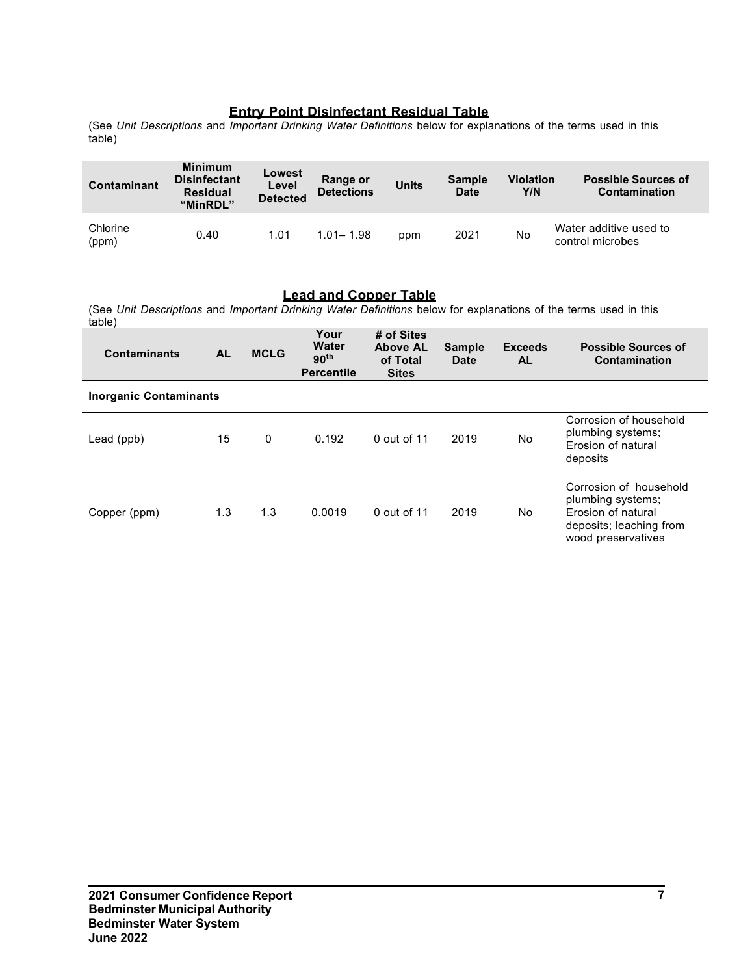## **Entry Point Disinfectant Residual Table**

(See *Unit Descriptions* and *Important Drinking Water Definitions* below for explanations of the terms used in this table)

| Contaminant       | <b>Minimum</b><br><b>Disinfectant</b><br><b>Residual</b><br>"MinRDL" | Lowest<br>Level<br><b>Detected</b> | <b>Range or</b><br><b>Detections</b> | <b>Units</b> | <b>Sample</b><br><b>Date</b> | <b>Violation</b><br>Y/N | <b>Possible Sources of</b><br>Contamination |
|-------------------|----------------------------------------------------------------------|------------------------------------|--------------------------------------|--------------|------------------------------|-------------------------|---------------------------------------------|
| Chlorine<br>(ppm) | 0.40                                                                 | 1.01                               | $1.01 - 1.98$                        | ppm          | 2021                         | No                      | Water additive used to<br>control microbes  |

## **Lead and Copper Table**

(See *Unit Descriptions* and *Important Drinking Water Definitions* below for explanations of the terms used in this table)

| <b>Contaminants</b>           | <b>AL</b> | <b>MCLG</b> | Your<br>Water<br>90 <sup>th</sup><br><b>Percentile</b> | # of Sites<br><b>Above AL</b><br>of Total<br><b>Sites</b> | <b>Sample</b><br><b>Date</b> | <b>Exceeds</b><br><b>AL</b> | <b>Possible Sources of</b><br>Contamination                                                                        |
|-------------------------------|-----------|-------------|--------------------------------------------------------|-----------------------------------------------------------|------------------------------|-----------------------------|--------------------------------------------------------------------------------------------------------------------|
| <b>Inorganic Contaminants</b> |           |             |                                                        |                                                           |                              |                             |                                                                                                                    |
| Lead (ppb)                    | 15        | 0           | 0.192                                                  | $0$ out of 11                                             | 2019                         | No                          | Corrosion of household<br>plumbing systems;<br>Frosion of natural<br>deposits                                      |
| Copper (ppm)                  | 1.3       | 1.3         | 0.0019                                                 | $0$ out of 11                                             | 2019                         | No                          | Corrosion of household<br>plumbing systems;<br>Erosion of natural<br>deposits; leaching from<br>wood preservatives |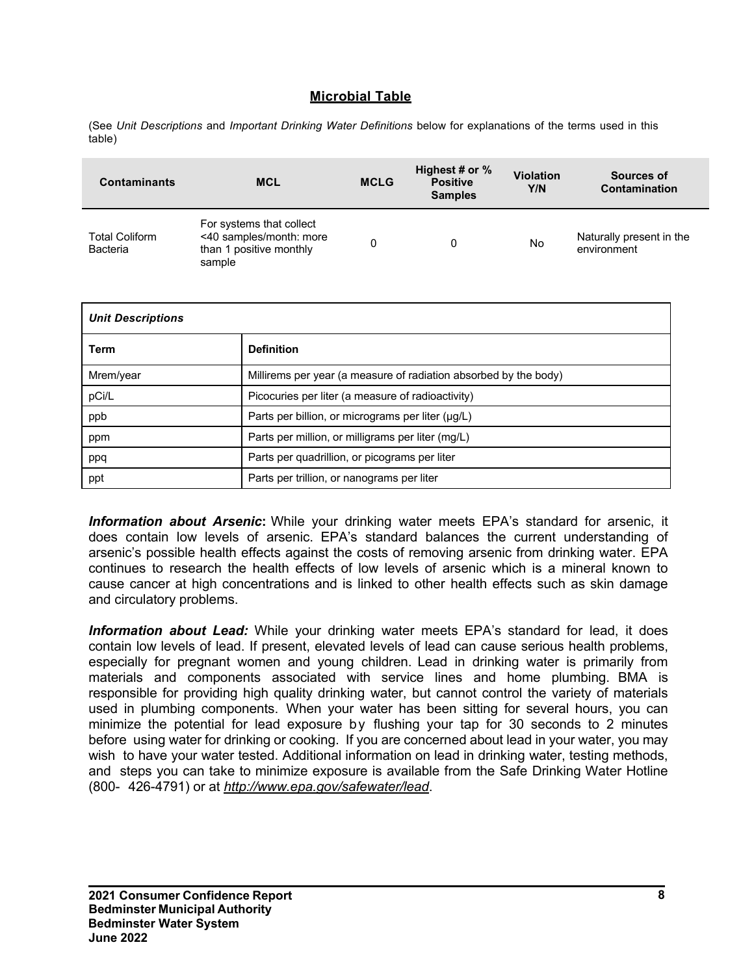# **Microbial Table**

(See *Unit Descriptions* and *Important Drinking Water Definitions* below for explanations of the terms used in this table)

| <b>Contaminants</b>                      | <b>MCL</b>                                                                               |                                                                  | <b>MCLG</b>  | Highest # or %<br><b>Positive</b><br><b>Samples</b> | <b>Violation</b><br>Y/N | Sources of<br><b>Contamination</b>      |  |  |  |
|------------------------------------------|------------------------------------------------------------------------------------------|------------------------------------------------------------------|--------------|-----------------------------------------------------|-------------------------|-----------------------------------------|--|--|--|
| <b>Total Coliform</b><br><b>Bacteria</b> | For systems that collect<br><40 samples/month: more<br>than 1 positive monthly<br>sample |                                                                  | $\mathbf{0}$ | 0                                                   | <b>No</b>               | Naturally present in the<br>environment |  |  |  |
| <b>Unit Descriptions</b>                 |                                                                                          |                                                                  |              |                                                     |                         |                                         |  |  |  |
| Term                                     |                                                                                          | <b>Definition</b>                                                |              |                                                     |                         |                                         |  |  |  |
| Mrem/year                                |                                                                                          | Millirems per year (a measure of radiation absorbed by the body) |              |                                                     |                         |                                         |  |  |  |
| pCi/L                                    |                                                                                          | Picocuries per liter (a measure of radioactivity)                |              |                                                     |                         |                                         |  |  |  |
| ppb                                      |                                                                                          | Parts per billion, or micrograms per liter (µg/L)                |              |                                                     |                         |                                         |  |  |  |
| ppm                                      |                                                                                          | Parts per million, or milligrams per liter (mg/L)                |              |                                                     |                         |                                         |  |  |  |
| ppq                                      |                                                                                          | Parts per quadrillion, or picograms per liter                    |              |                                                     |                         |                                         |  |  |  |
| ppt                                      |                                                                                          | Parts per trillion, or nanograms per liter                       |              |                                                     |                         |                                         |  |  |  |

**Information about Arsenic:** While your drinking water meets EPA's standard for arsenic, it does contain low levels of arsenic. EPA's standard balances the current understanding of arsenic's possible health effects against the costs of removing arsenic from drinking water. EPA continues to research the health effects of low levels of arsenic which is a mineral known to cause cancer at high concentrations and is linked to other health effects such as skin damage and circulatory problems.

**Information about Lead:** While your drinking water meets EPA's standard for lead, it does contain low levels of lead. If present, elevated levels of lead can cause serious health problems, especially for pregnant women and young children. Lead in drinking water is primarily from materials and components associated with service lines and home plumbing. BMA is responsible for providing high quality drinking water, but cannot control the variety of materials used in plumbing components. When your water has been sitting for several hours, you can minimize the potential for lead exposure by flushing your tap for 30 seconds to 2 minutes before using water for drinking or cooking. If you are concerned about lead in your water, you may wish to have your water tested. Additional information on lead in drinking water, testing methods, and steps you can take to minimize exposure is available from the Safe Drinking Water Hotline (800- 426-4791) or at *http://www.epa.gov/safewater/lead*.